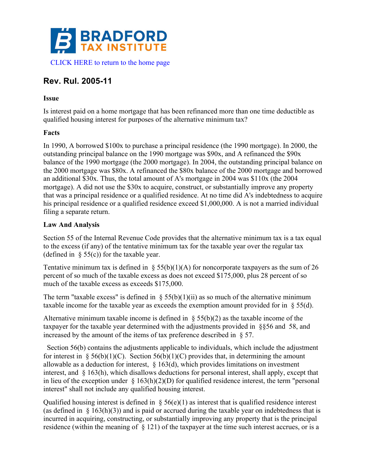

# **Rev. Rul. 2005-11**

#### **Issue**

Is interest paid on a home mortgage that has been refinanced more than one time deductible as qualified housing interest for purposes of the alternative minimum tax?

#### **Facts**

In 1990, A borrowed \$100x to purchase a principal residence (the 1990 mortgage). In 2000, the outstanding principal balance on the 1990 mortgage was \$90x, and A refinanced the \$90x balance of the 1990 mortgage (the 2000 mortgage). In 2004, the outstanding principal balance on the 2000 mortgage was \$80x. A refinanced the \$80x balance of the 2000 mortgage and borrowed an additional \$30x. Thus, the total amount of A's mortgage in 2004 was \$110x (the 2004 mortgage). A did not use the \$30x to acquire, construct, or substantially improve any property that was a principal residence or a qualified residence. At no time did A's indebtedness to acquire his principal residence or a qualified residence exceed \$1,000,000. A is not a married individual filing a separate return.

#### **Law And Analysis**

Section 55 of the Internal Revenue Code provides that the alternative minimum tax is a tax equal to the excess (if any) of the tentative minimum tax for the taxable year over the regular tax (defined in  $\S$  55(c)) for the taxable year.

Tentative minimum tax is defined in  $\S$  55(b)(1)(A) for noncorporate taxpayers as the sum of 26 percent of so much of the taxable excess as does not exceed \$175,000, plus 28 percent of so much of the taxable excess as exceeds \$175,000.

The term "taxable excess" is defined in  $\S$  55(b)(1)(ii) as so much of the alternative minimum taxable income for the taxable year as exceeds the exemption amount provided for in § 55(d).

Alternative minimum taxable income is defined in  $\S$  55(b)(2) as the taxable income of the taxpayer for the taxable year determined with the adjustments provided in §§56 and 58, and increased by the amount of the items of tax preference described in § 57.

 Section 56(b) contains the adjustments applicable to individuals, which include the adjustment for interest in § 56(b)(1)(C). Section 56(b)(1)(C) provides that, in determining the amount allowable as a deduction for interest,  $\S$  163(d), which provides limitations on investment interest, and § 163(h), which disallows deductions for personal interest, shall apply, except that in lieu of the exception under  $\S 163(h)(2)(D)$  for qualified residence interest, the term "personal interest" shall not include any qualified housing interest.

Qualified housing interest is defined in  $\frac{1}{2}$  56(e)(1) as interest that is qualified residence interest (as defined in  $\S$  163(h)(3)) and is paid or accrued during the taxable year on indebtedness that is incurred in acquiring, constructing, or substantially improving any property that is the principal residence (within the meaning of § 121) of the taxpayer at the time such interest accrues, or is a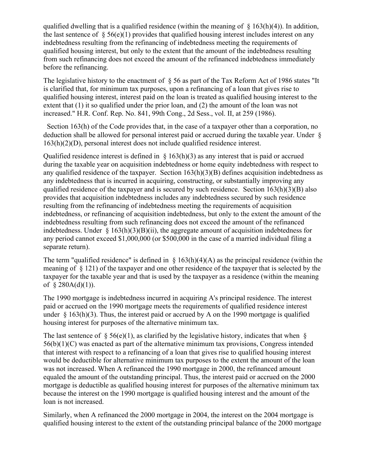qualified dwelling that is a qualified residence (within the meaning of  $\S$  163(h)(4)). In addition, the last sentence of  $\S 56(e)(1)$  provides that qualified housing interest includes interest on any indebtedness resulting from the refinancing of indebtedness meeting the requirements of qualified housing interest, but only to the extent that the amount of the indebtedness resulting from such refinancing does not exceed the amount of the refinanced indebtedness immediately before the refinancing.

The legislative history to the enactment of § 56 as part of the Tax Reform Act of 1986 states "It is clarified that, for minimum tax purposes, upon a refinancing of a loan that gives rise to qualified housing interest, interest paid on the loan is treated as qualified housing interest to the extent that (1) it so qualified under the prior loan, and (2) the amount of the loan was not increased." H.R. Conf. Rep. No. 841, 99th Cong., 2d Sess., vol. II, at 259 (1986).

 Section 163(h) of the Code provides that, in the case of a taxpayer other than a corporation, no deduction shall be allowed for personal interest paid or accrued during the taxable year. Under § 163(h)(2)(D), personal interest does not include qualified residence interest.

Qualified residence interest is defined in  $\S$  163(h)(3) as any interest that is paid or accrued during the taxable year on acquisition indebtedness or home equity indebtedness with respect to any qualified residence of the taxpayer. Section 163(h)(3)(B) defines acquisition indebtedness as any indebtedness that is incurred in acquiring, constructing, or substantially improving any qualified residence of the taxpayer and is secured by such residence. Section  $163(h)(3)(B)$  also provides that acquisition indebtedness includes any indebtedness secured by such residence resulting from the refinancing of indebtedness meeting the requirements of acquisition indebtedness, or refinancing of acquisition indebtedness, but only to the extent the amount of the indebtedness resulting from such refinancing does not exceed the amount of the refinanced indebtedness. Under  $\S$  163(h)(3)(B)(ii), the aggregate amount of acquisition indebtedness for any period cannot exceed \$1,000,000 (or \$500,000 in the case of a married individual filing a separate return).

The term "qualified residence" is defined in  $\S$  163(h)(4)(A) as the principal residence (within the meaning of § 121) of the taxpayer and one other residence of the taxpayer that is selected by the taxpayer for the taxable year and that is used by the taxpayer as a residence (within the meaning of  $$280A(d)(1)$ .

The 1990 mortgage is indebtedness incurred in acquiring A's principal residence. The interest paid or accrued on the 1990 mortgage meets the requirements of qualified residence interest under  $\S$  163(h)(3). Thus, the interest paid or accrued by A on the 1990 mortgage is qualified housing interest for purposes of the alternative minimum tax.

The last sentence of  $\S$  56(e)(1), as clarified by the legislative history, indicates that when  $\S$ 56(b)(1)(C) was enacted as part of the alternative minimum tax provisions, Congress intended that interest with respect to a refinancing of a loan that gives rise to qualified housing interest would be deductible for alternative minimum tax purposes to the extent the amount of the loan was not increased. When A refinanced the 1990 mortgage in 2000, the refinanced amount equaled the amount of the outstanding principal. Thus, the interest paid or accrued on the 2000 mortgage is deductible as qualified housing interest for purposes of the alternative minimum tax because the interest on the 1990 mortgage is qualified housing interest and the amount of the loan is not increased.

Similarly, when A refinanced the 2000 mortgage in 2004, the interest on the 2004 mortgage is qualified housing interest to the extent of the outstanding principal balance of the 2000 mortgage